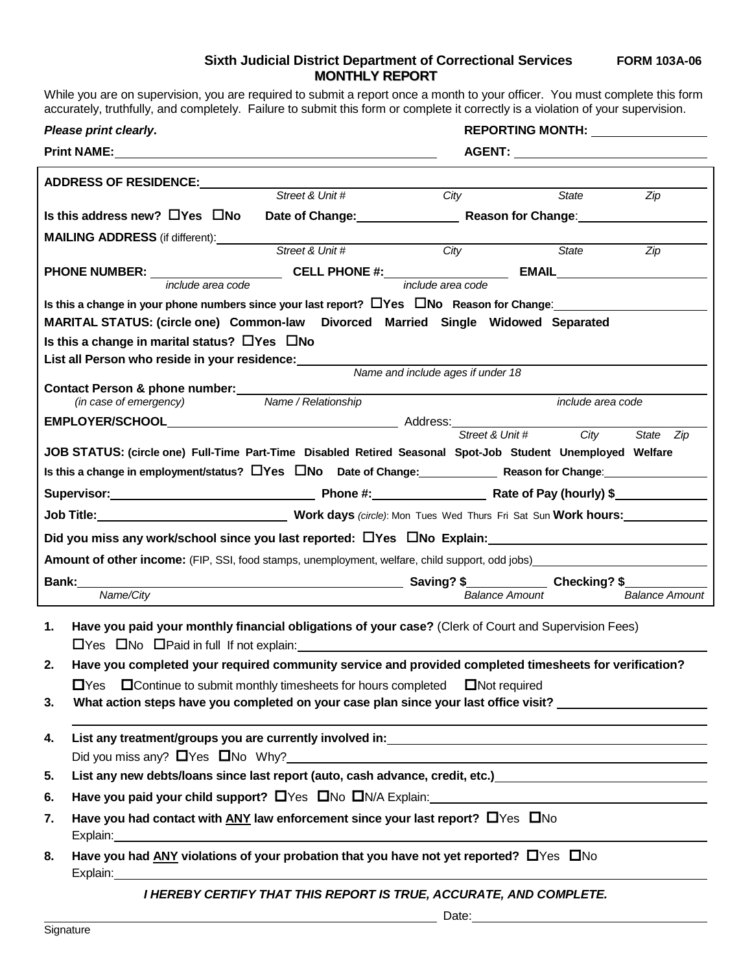## **Sixth Judicial District Department of Correctional Services FORM 103A-06 MONTHLY REPORT**

While you are on supervision, you are required to submit a report once a month to your officer. You must complete this form accurately, truthfully, and completely. Failure to submit this form or complete it correctly is a violation of your supervision.

| Please print clearly.                                                                                  |                                                                                                    |                                                                                                                        |                   | REPORTING MONTH: NAMEL AND REPORTING                                                                                                                                                                                                      |                       |  |  |  |  |  |  |
|--------------------------------------------------------------------------------------------------------|----------------------------------------------------------------------------------------------------|------------------------------------------------------------------------------------------------------------------------|-------------------|-------------------------------------------------------------------------------------------------------------------------------------------------------------------------------------------------------------------------------------------|-----------------------|--|--|--|--|--|--|
|                                                                                                        | Print NAME: Department                                                                             |                                                                                                                        |                   |                                                                                                                                                                                                                                           |                       |  |  |  |  |  |  |
| <b>ADDRESS OF RESIDENCE:</b>                                                                           |                                                                                                    |                                                                                                                        |                   |                                                                                                                                                                                                                                           |                       |  |  |  |  |  |  |
|                                                                                                        |                                                                                                    | Street & Unit #                                                                                                        | City              | State                                                                                                                                                                                                                                     | Zip                   |  |  |  |  |  |  |
| Is this address new? $\Box$ Yes $\Box$ No                                                              |                                                                                                    |                                                                                                                        |                   | Date of Change: <b>Example 2 Reason for Change:</b> New York 1997                                                                                                                                                                         |                       |  |  |  |  |  |  |
| <b>MAILING ADDRESS</b> (if different):                                                                 |                                                                                                    | Street & Unit #                                                                                                        | City              | State                                                                                                                                                                                                                                     | Zip                   |  |  |  |  |  |  |
|                                                                                                        |                                                                                                    |                                                                                                                        |                   |                                                                                                                                                                                                                                           |                       |  |  |  |  |  |  |
|                                                                                                        | include area code                                                                                  |                                                                                                                        | include area code |                                                                                                                                                                                                                                           |                       |  |  |  |  |  |  |
| Is this a change in your phone numbers since your last report? $\Box$ Yes $\Box$ No Reason for Change: |                                                                                                    |                                                                                                                        |                   |                                                                                                                                                                                                                                           |                       |  |  |  |  |  |  |
| MARITAL STATUS: (circle one) Common-law Divorced Married Single Widowed Separated                      |                                                                                                    |                                                                                                                        |                   |                                                                                                                                                                                                                                           |                       |  |  |  |  |  |  |
| Is this a change in marital status? $\Box$ Yes $\Box$ No                                               |                                                                                                    |                                                                                                                        |                   |                                                                                                                                                                                                                                           |                       |  |  |  |  |  |  |
| List all Person who reside in your residence:<br>Name and include ages if under 18                     |                                                                                                    |                                                                                                                        |                   |                                                                                                                                                                                                                                           |                       |  |  |  |  |  |  |
| Contact Person & phone number:                                                                         |                                                                                                    |                                                                                                                        |                   |                                                                                                                                                                                                                                           |                       |  |  |  |  |  |  |
|                                                                                                        | (in case of emergency)                                                                             | Name / Relationship                                                                                                    |                   | <i>include area code</i>                                                                                                                                                                                                                  |                       |  |  |  |  |  |  |
|                                                                                                        |                                                                                                    |                                                                                                                        |                   | Street & Unit #                                                                                                                                                                                                                           |                       |  |  |  |  |  |  |
|                                                                                                        |                                                                                                    |                                                                                                                        |                   | City<br>JOB STATUS: (circle one) Full-Time Part-Time Disabled Retired Seasonal Spot-Job Student Unemployed Welfare                                                                                                                        | State Zip             |  |  |  |  |  |  |
|                                                                                                        |                                                                                                    |                                                                                                                        |                   |                                                                                                                                                                                                                                           |                       |  |  |  |  |  |  |
| Is this a change in employment/status? $\Box$ Yes $\Box$ No Date of Change: Reason for Change:         |                                                                                                    |                                                                                                                        |                   |                                                                                                                                                                                                                                           |                       |  |  |  |  |  |  |
|                                                                                                        |                                                                                                    |                                                                                                                        |                   |                                                                                                                                                                                                                                           |                       |  |  |  |  |  |  |
| Job Title: <u>Charles Mork days</u> (circle): Mon Tues Wed Thurs Fri Sat Sun Work hours:               |                                                                                                    |                                                                                                                        |                   |                                                                                                                                                                                                                                           |                       |  |  |  |  |  |  |
| Did you miss any work/school since you last reported: $\Box$ Yes $\Box$ No Explain:                    |                                                                                                    |                                                                                                                        |                   |                                                                                                                                                                                                                                           |                       |  |  |  |  |  |  |
|                                                                                                        |                                                                                                    |                                                                                                                        |                   | <b>Amount of other income:</b> (FIP, SSI, food stamps, unemployment, welfare, child support, odd jobs) <b>Conservative Conservative Conservative Conservative Conservative Conservative Conservative Conservative Conservative Conser</b> |                       |  |  |  |  |  |  |
| Bank:<br>Name/City                                                                                     |                                                                                                    |                                                                                                                        |                   | <b>Balance Amount</b>                                                                                                                                                                                                                     | <b>Balance Amount</b> |  |  |  |  |  |  |
|                                                                                                        |                                                                                                    |                                                                                                                        |                   |                                                                                                                                                                                                                                           |                       |  |  |  |  |  |  |
| 1.                                                                                                     |                                                                                                    |                                                                                                                        |                   | Have you paid your monthly financial obligations of your case? (Clerk of Court and Supervision Fees)                                                                                                                                      |                       |  |  |  |  |  |  |
|                                                                                                        |                                                                                                    | <b>Only and Second Trust Construct Construct Construct Construct Construct Construct Construct Construct Construct</b> |                   |                                                                                                                                                                                                                                           |                       |  |  |  |  |  |  |
| 2.                                                                                                     |                                                                                                    |                                                                                                                        |                   | Have you completed your required community service and provided completed timesheets for verification?                                                                                                                                    |                       |  |  |  |  |  |  |
|                                                                                                        |                                                                                                    | $\Box$ Yes $\Box$ Continue to submit monthly timesheets for hours completed $\Box$ Not required                        |                   |                                                                                                                                                                                                                                           |                       |  |  |  |  |  |  |
| 3.                                                                                                     |                                                                                                    |                                                                                                                        |                   | What action steps have you completed on your case plan since your last office visit?                                                                                                                                                      |                       |  |  |  |  |  |  |
| 4.                                                                                                     |                                                                                                    |                                                                                                                        |                   | ,我们也不会有什么。""我们的人,我们也不会有什么?""我们的人,我们也不会有什么?""我们的人,我们也不会有什么?""我们的人,我们也不会有什么?""我们的人                                                                                                                                                          |                       |  |  |  |  |  |  |
|                                                                                                        |                                                                                                    |                                                                                                                        |                   |                                                                                                                                                                                                                                           |                       |  |  |  |  |  |  |
| 5.                                                                                                     |                                                                                                    |                                                                                                                        |                   |                                                                                                                                                                                                                                           |                       |  |  |  |  |  |  |
| 6.                                                                                                     |                                                                                                    |                                                                                                                        |                   |                                                                                                                                                                                                                                           |                       |  |  |  |  |  |  |
| Have you had contact with $\Delta NY$ law enforcement since your last report? $\Box$ Yes $\Box$ No     |                                                                                                    |                                                                                                                        |                   |                                                                                                                                                                                                                                           |                       |  |  |  |  |  |  |
| 7.                                                                                                     |                                                                                                    |                                                                                                                        |                   |                                                                                                                                                                                                                                           |                       |  |  |  |  |  |  |
| 8.                                                                                                     | Have you had ANY violations of your probation that you have not yet reported? $\Box$ Yes $\Box$ No |                                                                                                                        |                   |                                                                                                                                                                                                                                           |                       |  |  |  |  |  |  |
|                                                                                                        |                                                                                                    | <b>I HEREBY CERTIFY THAT THIS REPORT IS TRUE, ACCURATE, AND COMPLETE.</b>                                              |                   |                                                                                                                                                                                                                                           |                       |  |  |  |  |  |  |